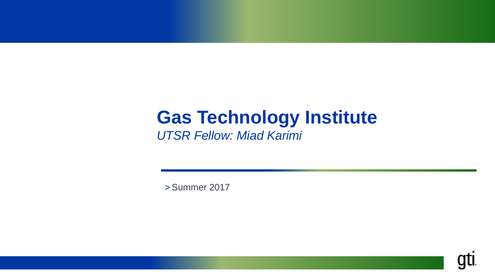# **Gas Technology Institute**

*UTSR Fellow: Miad Karimi*

> Summer 2017

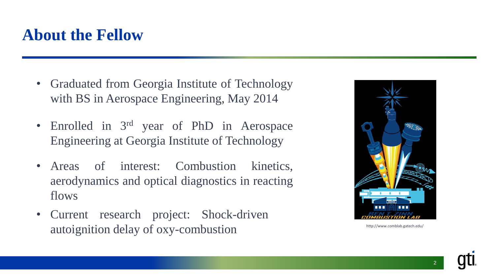### **About the Fellow**

- Graduated from Georgia Institute of Technology with BS in Aerospace Engineering, May 2014
- Enrolled in 3rd year of PhD in Aerospace Engineering at Georgia Institute of Technology
- Areas of interest: Combustion kinetics, aerodynamics and optical diagnostics in reacting flows
- Current research project: Shock-driven autoignition delay of oxy-combustion http://www.comblab.gatech.edu/

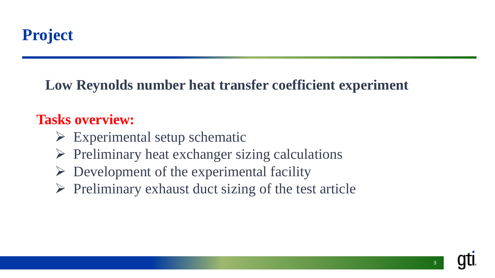**Low Reynolds number heat transfer coefficient experiment**

#### **Tasks overview:**

- $\triangleright$  Experimental setup schematic
- $\triangleright$  Preliminary heat exchanger sizing calculations
- $\triangleright$  Development of the experimental facility
- $\triangleright$  Preliminary exhaust duct sizing of the test article

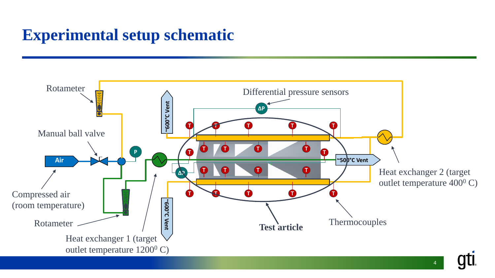# **Experimental setup schematic**

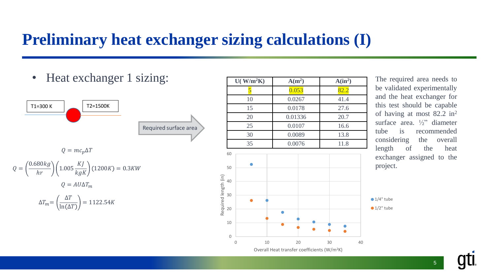#### **Preliminary heat exchanger sizing calculations (I)**

T1=300 K T2=1500K  $Q = mc_p\Delta T$  $Q=$  $0.680 kg$  $\frac{1}{hr}$  (1.005) KJ  $\left(\frac{1200K}{kgK}\right)(1200K) = 0.3KW$  $Q = A U \Delta T_m$  $\Delta T_m$ =  $\Delta T$  $\ln(\Delta T)$  $= 1122.54K$ Required surface area

• Heat exchanger 1 sizing:



The required area needs to be validated experimentally and the heat exchanger for this test should be capable of having at most 82.2 in<sup>2</sup> surface area. ½" diameter tube is recommended considering the overall length of the heat exchanger assigned to the project.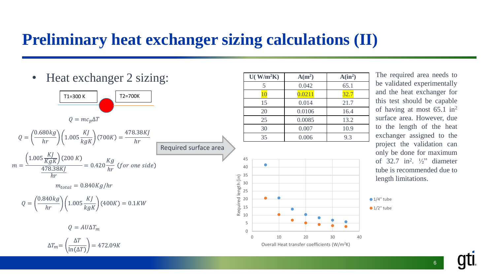#### **Preliminary heat exchanger sizing calculations (II)**



The required area needs to be validated experimentally and the heat exchanger for this test should be capable of having at most 65.1 in<sup>2</sup> surface area. However, due to the length of the heat exchanger assigned to the project the validation can only be done for maximum of  $32.7$  in<sup>2</sup>.  $\frac{1}{2}$  diameter tube is recommended due to length limitations.

 $\bigcirc$  1/4" tube

 $\bullet$  1/2" tube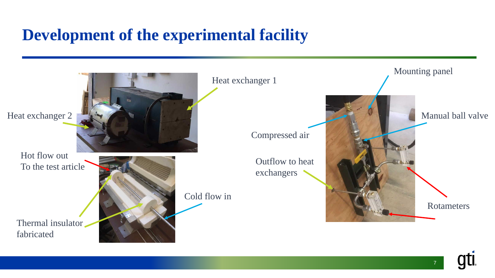# **Development of the experimental facility**

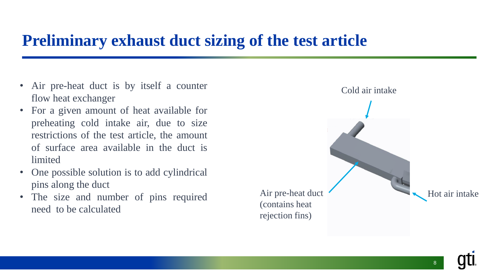### **Preliminary exhaust duct sizing of the test article**

- Air pre-heat duct is by itself a counter flow heat exchanger
- For a given amount of heat available for preheating cold intake air, due to size restrictions of the test article, the amount of surface area available in the duct is limited
- One possible solution is to add cylindrical pins along the duct
- The size and number of pins required need to be calculated

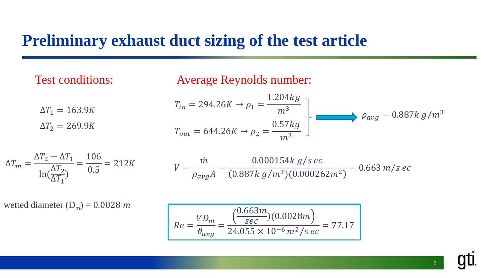#### **Preliminary exhaust duct sizing of the test article**

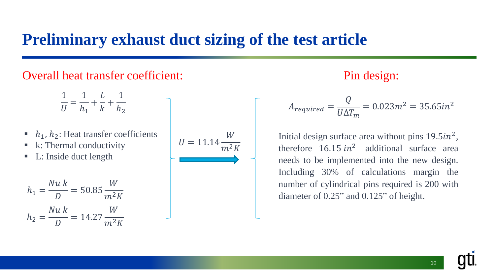#### **Preliminary exhaust duct sizing of the test article**

#### Overall heat transfer coefficient:

1  $\boldsymbol{U}$ = 1  $h_1$  $+$  $\overline{L}$  $\boldsymbol{k}$  $+$ 1  $h_{2}$ 

- $\blacksquare$   $h_1$ ,  $h_2$ : Heat transfer coefficients
- k: Thermal conductivity
- L: Inside duct length

$$
h_1 = \frac{Nu \ k}{D} = 50.85 \frac{W}{m^2 K}
$$

$$
h_2 = \frac{Nu \ k}{D} = 14.27 \frac{W}{m^2 K}
$$



#### Pin design:

$$
A_{required} = \frac{Q}{U\Delta T_m} = 0.023m^2 = 35.65in^2
$$

Initial design surface area without pins  $19.5in^2$ , therefore  $16.15 \text{ in}^2$  additional surface area needs to be implemented into the new design. Including 30% of calculations margin the number of cylindrical pins required is 200 with diameter of 0.25" and 0.125" of height.